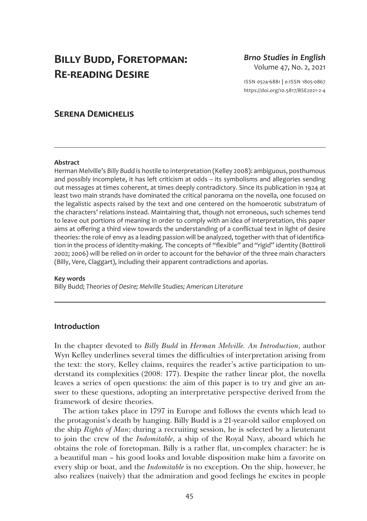# **Billy Budd, Foretopman: Re-reading Desire**

*Brno Studies in English* Volume 47, No. 2, 2021

ISSN 0524-6881 **|** e-ISSN 1805-0867 <https://doi.org/10.5817/BSE2021-2-4>

# **Serena Demichelis**

#### **Abstract**

Herman Melville's *Billy Budd* is hostile to interpretation (Kelley 2008): ambiguous, posthumous and possibly incomplete, it has left criticism at odds – its symbolisms and allegories sending out messages at times coherent, at times deeply contradictory. Since its publication in 1924 at least two main strands have dominated the critical panorama on the novella, one focused on the legalistic aspects raised by the text and one centered on the homoerotic substratum of the characters' relations instead. Maintaining that, though not erroneous, such schemes tend to leave out portions of meaning in order to comply with an idea of interpretation, this paper aims at offering a third view towards the understanding of a conflictual text in light of desire theories: the role of envy as a leading passion will be analyzed, together with that of identification in the process of identity-making. The concepts of "flexible" and "rigid" identity (Bottiroli 2002; 2006) will be relied on in order to account for the behavior of the three main characters (Billy, Vere, Claggart), including their apparent contradictions and aporias.

#### **Key words**

Billy Budd; *Theories of Desire; Melville Studies; American Literature*

# **Introduction**

In the chapter devoted to *Billy Budd* in *Herman Melville. An Introduction*, author Wyn Kelley underlines several times the difficulties of interpretation arising from the text: the story, Kelley claims, requires the reader's active participation to understand its complexities (2008: 177). Despite the rather linear plot, the novella leaves a series of open questions: the aim of this paper is to try and give an answer to these questions, adopting an interpretative perspective derived from the framework of desire theories.

The action takes place in 1797 in Europe and follows the events which lead to the protagonist's death by hanging. Billy Budd is a 21-year-old sailor employed on the ship *Rights of Man*; during a recruiting session, he is selected by a lieutenant to join the crew of the *Indomitable*, a ship of the Royal Navy, aboard which he obtains the role of foretopman. Billy is a rather flat, un-complex character: he is a beautiful man – his good looks and lovable disposition make him a favorite on every ship or boat, and the *Indomitable* is no exception. On the ship, however, he also realizes (naively) that the admiration and good feelings he excites in people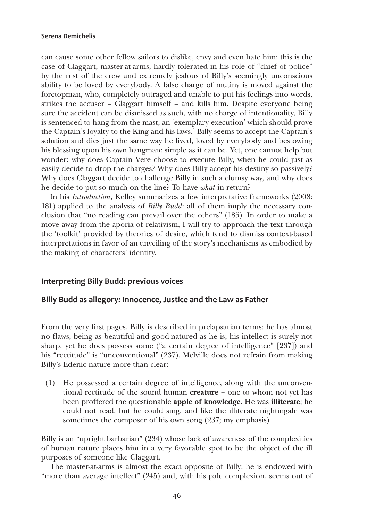can cause some other fellow sailors to dislike, envy and even hate him: this is the case of Claggart, master-at-arms, hardly tolerated in his role of "chief of police" by the rest of the crew and extremely jealous of Billy's seemingly unconscious ability to be loved by everybody. A false charge of mutiny is moved against the foretopman, who, completely outraged and unable to put his feelings into words, strikes the accuser – Claggart himself – and kills him. Despite everyone being sure the accident can be dismissed as such, with no charge of intentionality, Billy is sentenced to hang from the mast, an 'exemplary execution' which should prove the Captain's loyalty to the King and his laws.<sup>1</sup> Billy seems to accept the Captain's solution and dies just the same way he lived, loved by everybody and bestowing his blessing upon his own hangman: simple as it can be. Yet, one cannot help but wonder: why does Captain Vere choose to execute Billy, when he could just as easily decide to drop the charges? Why does Billy accept his destiny so passively? Why does Claggart decide to challenge Billy in such a clumsy way, and why does he decide to put so much on the line? To have *what* in return?

In his *Introduction*, Kelley summarizes a few interpretative frameworks (2008: 181) applied to the analysis of *Billy Budd*: all of them imply the necessary conclusion that "no reading can prevail over the others" (185). In order to make a move away from the aporia of relativism, I will try to approach the text through the 'toolkit' provided by theories of desire, which tend to dismiss context-based interpretations in favor of an unveiling of the story's mechanisms as embodied by the making of characters' identity.

# **Interpreting Billy Budd: previous voices**

# **Billy Budd as allegory: Innocence, Justice and the Law as Father**

From the very first pages, Billy is described in prelapsarian terms: he has almost no flaws, being as beautiful and good-natured as he is; his intellect is surely not sharp, yet he does possess some ("a certain degree of intelligence" [237]) and his "rectitude" is "unconventional" (237). Melville does not refrain from making Billy's Edenic nature more than clear:

(1) He possessed a certain degree of intelligence, along with the unconventional rectitude of the sound human creature – one to whom not yet has been proffered the questionable apple of knowledge. He was illiterate; he could not read, but he could sing, and like the illiterate nightingale was sometimes the composer of his own song (237; my emphasis)

Billy is an "upright barbarian" (234) whose lack of awareness of the complexities of human nature places him in a very favorable spot to be the object of the ill purposes of someone like Claggart.

The master-at-arms is almost the exact opposite of Billy: he is endowed with "more than average intellect" (245) and, with his pale complexion, seems out of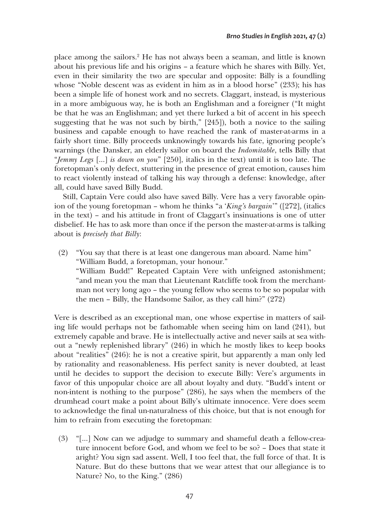place among the sailors.2 He has not always been a seaman, and little is known about his previous life and his origins – a feature which he shares with Billy. Yet, even in their similarity the two are specular and opposite: Billy is a foundling whose "Noble descent was as evident in him as in a blood horse" (233); his has been a simple life of honest work and no secrets. Claggart, instead, is mysterious in a more ambiguous way, he is both an Englishman and a foreigner ("It might be that he was an Englishman; and yet there lurked a bit of accent in his speech suggesting that he was not such by birth," [245]), both a novice to the sailing business and capable enough to have reached the rank of master-at-arms in a fairly short time. Billy proceeds unknowingly towards his fate, ignoring people's warnings (the Dansker, an elderly sailor on board the *Indomitable*, tells Billy that "*Jemmy Legs* […] *is down on you*" [250], italics in the text) until it is too late. The foretopman's only defect, stuttering in the presence of great emotion, causes him to react violently instead of talking his way through a defense: knowledge, after all, could have saved Billy Budd.

Still, Captain Vere could also have saved Billy. Vere has a very favorable opinion of the young foretopman – whom he thinks "a '*King's bargain*'" ([272], (italics in the text) – and his attitude in front of Claggart's insinuations is one of utter disbelief. He has to ask more than once if the person the master-at-arms is talking about is *precisely that Billy*:

(2) "You say that there is at least one dangerous man aboard. Name him" "William Budd, a foretopman, your honour." "William Budd!" Repeated Captain Vere with unfeigned astonishment; "and mean you the man that Lieutenant Ratcliffe took from the merchantman not very long ago – the young fellow who seems to be so popular with the men – Billy, the Handsome Sailor, as they call him?" (272)

Vere is described as an exceptional man, one whose expertise in matters of sailing life would perhaps not be fathomable when seeing him on land (241), but extremely capable and brave. He is intellectually active and never sails at sea without a "newly replenished library" (246) in which he mostly likes to keep books about "realities" (246): he is not a creative spirit, but apparently a man only led by rationality and reasonableness. His perfect sanity is never doubted, at least until he decides to support the decision to execute Billy: Vere's arguments in favor of this unpopular choice are all about loyalty and duty. "Budd's intent or non-intent is nothing to the purpose" (286), he says when the members of the drumhead court make a point about Billy's ultimate innocence. Vere does seem to acknowledge the final un-naturalness of this choice, but that is not enough for him to refrain from executing the foretopman:

(3) "[…] Now can we adjudge to summary and shameful death a fellow-creature innocent before God, and whom we feel to be so? – Does that state it aright? You sign sad assent. Well, I too feel that, the full force of that. It is Nature. But do these buttons that we wear attest that our allegiance is to Nature? No, to the King." (286)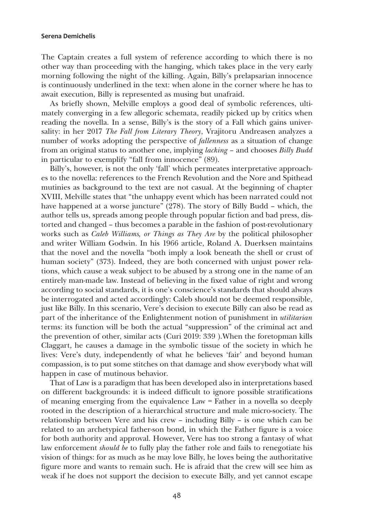The Captain creates a full system of reference according to which there is no other way than proceeding with the hanging, which takes place in the very early morning following the night of the killing. Again, Billy's prelapsarian innocence is continuously underlined in the text: when alone in the corner where he has to await execution, Billy is represented as musing but unafraid.

As briefly shown, Melville employs a good deal of symbolic references, ultimately converging in a few allegoric schemata, readily picked up by critics when reading the novella. In a sense, Billy's is the story of a Fall which gains universality: in her 2017 *The Fall from Literary Theory*, Vrajitoru Andreasen analyzes a number of works adopting the perspective of *fallenness* as a situation of change from an original status to another one, implying *lacking* – and chooses *Billy Budd*  in particular to exemplify "fall from innocence" (89).

Billy's, however, is not the only 'fall' which permeates interpretative approaches to the novella: references to the French Revolution and the Nore and Spithead mutinies as background to the text are not casual. At the beginning of chapter XVIII, Melville states that "the unhappy event which has been narrated could not have happened at a worse juncture" (278). The story of Billy Budd – which, the author tells us, spreads among people through popular fiction and bad press, distorted and changed – thus becomes a parable in the fashion of post-revolutionary works such as *Caleb Williams, or Things as They Are* by the political philosopher and writer William Godwin. In his 1966 article, Roland A. Duerksen maintains that the novel and the novella "both imply a look beneath the shell or crust of human society" (373). Indeed, they are both concerned with unjust power relations, which cause a weak subject to be abused by a strong one in the name of an entirely man-made law. Instead of believing in the fixed value of right and wrong according to social standards, it is one's conscience's standards that should always be interrogated and acted accordingly: Caleb should not be deemed responsible, just like Billy. In this scenario, Vere's decision to execute Billy can also be read as part of the inheritance of the Enlightenment notion of punishment in *utilitarian*  terms: its function will be both the actual "suppression" of the criminal act and the prevention of other, similar acts (Curi 2019: 339 ).When the foretopman kills Claggart, he causes a damage in the symbolic tissue of the society in which he lives: Vere's duty, independently of what he believes 'fair' and beyond human compassion, is to put some stitches on that damage and show everybody what will happen in case of mutinous behavior.

That of Law is a paradigm that has been developed also in interpretations based on different backgrounds: it is indeed difficult to ignore possible stratifications of meaning emerging from the equivalence Law = Father in a novella so deeply rooted in the description of a hierarchical structure and male micro-society. The relationship between Vere and his crew – including Billy – is one which can be related to an archetypical father-son bond, in which the Father figure is a voice for both authority and approval. However, Vere has too strong a fantasy of what law enforcement *should be* to fully play the father role and fails to renegotiate his vision of things: for as much as he may love Billy, he loves being the authoritative figure more and wants to remain such. He is afraid that the crew will see him as weak if he does not support the decision to execute Billy, and yet cannot escape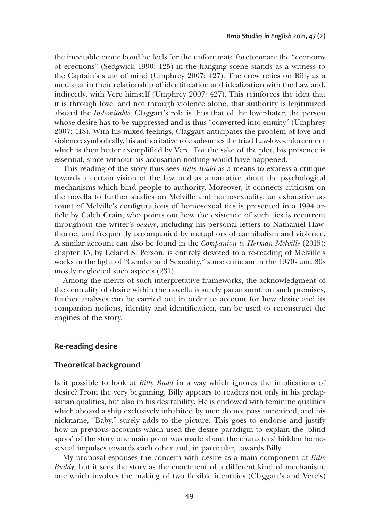the inevitable erotic bond he feels for the unfortunate foretopman: the "economy of erections" (Sedgwick 1990: 125) in the hanging scene stands as a witness to the Captain's state of mind (Umphrey 2007: 427). The crew relies on Billy as a mediator in their relationship of identification and idealization with the Law and, indirectly, with Vere himself (Umphrey 2007: 427). This reinforces the idea that it is through love, and not through violence alone, that authority is legitimized aboard the *Indomitable*. Claggart's role is thus that of the lover-hater, the person whose desire has to be suppressed and is thus "converted into enmity" (Umphrey 2007: 418). With his mixed feelings, Claggart anticipates the problem of love and violence; symbolically, his authoritative role subsumes the triad Law-love-enforcement which is then better exemplified by Vere. For the sake of the plot, his presence is essential, since without his accusation nothing would have happened.

This reading of the story thus sees *Billy Budd* as a means to express a critique towards a certain vision of the law, and as a narrative about the psychological mechanisms which bind people to authority. Moreover, it connects criticism on the novella to further studies on Melville and homosexuality: an exhaustive account of Melville's configurations of homosexual ties is presented in a 1994 article by Caleb Crain, who points out how the existence of such ties is recurrent throughout the writer's *oeuvre*, including his personal letters to Nathaniel Hawthorne, and frequently accompanied by metaphors of cannibalism and violence. A similar account can also be found in the *Companion to Herman Melville* (2015): chapter 15, by Leland S. Person, is entirely devoted to a re-reading of Melville's works in the light of "Gender and Sexuality," since criticism in the 1970s and 80s mostly neglected such aspects (231).

Among the merits of such interpretative frameworks, the acknowledgment of the centrality of desire within the novella is surely paramount: on such premises, further analyses can be carried out in order to account for how desire and its companion notions, identity and identification, can be used to reconstruct the engines of the story.

# **Re-reading desire**

# **Theoretical background**

Is it possible to look at *Billy Budd* in a way which ignores the implications of desire? From the very beginning, Billy appears to readers not only in his prelapsarian qualities, but also in his desirability. He is endowed with feminine qualities which aboard a ship exclusively inhabited by men do not pass unnoticed, and his nickname, "Baby," surely adds to the picture. This goes to endorse and justify how in previous accounts which used the desire paradigm to explain the 'blind spots' of the story one main point was made about the characters' hidden homosexual impulses towards each other and, in particular, towards Billy.

My proposal espouses the concern with desire as a main component of *Billy Buddy*, but it sees the story as the enactment of a different kind of mechanism, one which involves the making of two flexible identities (Claggart's and Vere's)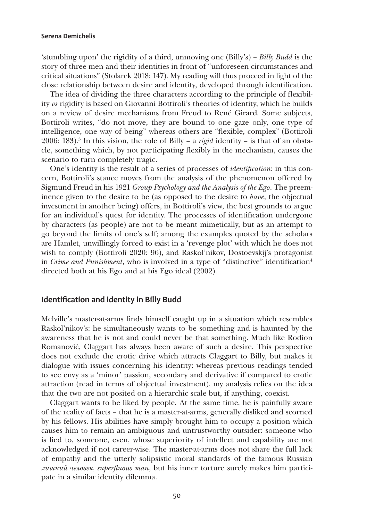'stumbling upon' the rigidity of a third, unmoving one (Billy's) – *Billy Budd* is the story of three men and their identities in front of "unforeseen circumstances and critical situations" (Stolarek 2018: 147). My reading will thus proceed in light of the close relationship between desire and identity, developed through identification.

The idea of dividing the three characters according to the principle of flexibility *vs* rigidity is based on Giovanni Bottiroli's theories of identity, which he builds on a review of desire mechanisms from Freud to René Girard*.* Some subjects, Bottiroli writes, "do not move, they are bound to one gaze only, one type of intelligence, one way of being" whereas others are "flexible, complex" (Bottiroli 2006: 183).3 In this vision, the role of Billy – a *rigid* identity – is that of an obstacle, something which, by not participating flexibly in the mechanism, causes the scenario to turn completely tragic.

One's identity is the result of a series of processes of *identification*: in this concern, Bottiroli's stance moves from the analysis of the phenomenon offered by Sigmund Freud in his 1921 *Group Psychology and the Analysis of the Ego*. The preeminence given to the desire to be (as opposed to the desire to *have*, the objectual investment in another being) offers, in Bottiroli's view, the best grounds to argue for an individual's quest for identity. The processes of identification undergone by characters (as people) are not to be meant mimetically, but as an attempt to go beyond the limits of one's self; among the examples quoted by the scholars are Hamlet, unwillingly forced to exist in a 'revenge plot' with which he does not wish to comply (Bottiroli 2020: 96), and Raskol'nikov, Dostoevskij's protagonist in *Crime and Punishment*, who is involved in a type of "distinctive" identification<sup>4</sup> directed both at his Ego and at his Ego ideal (2002).

#### **Identification and identity in Billy Budd**

Melville's master-at-arms finds himself caught up in a situation which resembles Raskol'nikov's: he simultaneously wants to be something and is haunted by the awareness that he is not and could never be that something. Much like Rodion Romanovič, Claggart has always been aware of such a desire. This perspective does not exclude the erotic drive which attracts Claggart to Billy, but makes it dialogue with issues concerning his identity: whereas previous readings tended to see envy as a 'minor' passion, secondary and derivative if compared to erotic attraction (read in terms of objectual investment), my analysis relies on the idea that the two are not posited on a hierarchic scale but, if anything, coexist.

Claggart wants to be liked by people. At the same time, he is painfully aware of the reality of facts – that he is a master-at-arms, generally disliked and scorned by his fellows. His abilities have simply brought him to occupy a position which causes him to remain an ambiguous and untrustworthy outsider: someone who is lied to, someone, even, whose superiority of intellect and capability are not acknowledged if not career-wise. The master-at-arms does not share the full lack of empathy and the utterly solipsistic moral standards of the famous Russian *лишний человек*, *superfluous man*, but his inner torture surely makes him participate in a similar identity dilemma.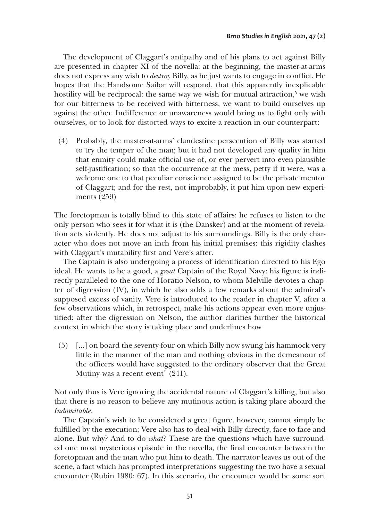The development of Claggart's antipathy and of his plans to act against Billy are presented in chapter XI of the novella: at the beginning, the master-at-arms does not express any wish to *destroy* Billy, as he just wants to engage in conflict. He hopes that the Handsome Sailor will respond, that this apparently inexplicable hostility will be reciprocal: the same way we wish for mutual attraction,<sup>5</sup> we wish for our bitterness to be received with bitterness, we want to build ourselves up against the other. Indifference or unawareness would bring us to fight only with ourselves, or to look for distorted ways to excite a reaction in our counterpart:

(4) Probably, the master-at-arms' clandestine persecution of Billy was started to try the temper of the man; but it had not developed any quality in him that enmity could make official use of, or ever pervert into even plausible self-justification; so that the occurrence at the mess, petty if it were, was a welcome one to that peculiar conscience assigned to be the private mentor of Claggart; and for the rest, not improbably, it put him upon new experiments (259)

The foretopman is totally blind to this state of affairs: he refuses to listen to the only person who sees it for what it is (the Dansker) and at the moment of revelation acts violently. He does not adjust to his surroundings. Billy is the only character who does not move an inch from his initial premises: this rigidity clashes with Claggart's mutability first and Vere's after.

The Captain is also undergoing a process of identification directed to his Ego ideal. He wants to be a good, a *great* Captain of the Royal Navy: his figure is indirectly paralleled to the one of Horatio Nelson, to whom Melville devotes a chapter of digression (IV), in which he also adds a few remarks about the admiral's supposed excess of vanity. Vere is introduced to the reader in chapter V, after a few observations which, in retrospect, make his actions appear even more unjustified: after the digression on Nelson, the author clarifies further the historical context in which the story is taking place and underlines how

(5) […] on board the seventy-four on which Billy now swung his hammock very little in the manner of the man and nothing obvious in the demeanour of the officers would have suggested to the ordinary observer that the Great Mutiny was a recent event" (241).

Not only thus is Vere ignoring the accidental nature of Claggart's killing, but also that there is no reason to believe any mutinous action is taking place aboard the *Indomitable*.

The Captain's wish to be considered a great figure, however, cannot simply be fulfilled by the execution; Vere also has to deal with Billy directly, face to face and alone. But why? And to do *what*? These are the questions which have surrounded one most mysterious episode in the novella, the final encounter between the foretopman and the man who put him to death. The narrator leaves us out of the scene, a fact which has prompted interpretations suggesting the two have a sexual encounter (Rubin 1980: 67). In this scenario, the encounter would be some sort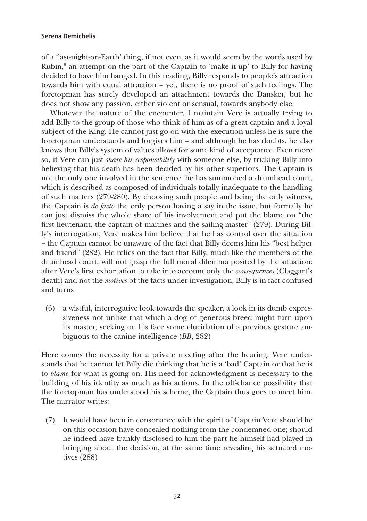of a 'last-night-on-Earth' thing, if not even, as it would seem by the words used by Rubin,<sup>6</sup> an attempt on the part of the Captain to 'make it up' to Billy for having decided to have him hanged. In this reading, Billy responds to people's attraction towards him with equal attraction – yet, there is no proof of such feelings. The foretopman has surely developed an attachment towards the Dansker, but he does not show any passion, either violent or sensual, towards anybody else.

Whatever the nature of the encounter, I maintain Vere is actually trying to add Billy to the group of those who think of him as of a great captain and a loyal subject of the King. He cannot just go on with the execution unless he is sure the foretopman understands and forgives him – and although he has doubts, he also knows that Billy's system of values allows for some kind of acceptance. Even more so, if Vere can just *share his responsibility* with someone else, by tricking Billy into believing that his death has been decided by his other superiors. The Captain is not the only one involved in the sentence: he has summoned a drumhead court, which is described as composed of individuals totally inadequate to the handling of such matters (279-280). By choosing such people and being the only witness, the Captain is *de facto* the only person having a say in the issue, but formally he can just dismiss the whole share of his involvement and put the blame on "the first lieutenant, the captain of marines and the sailing-master" (279). During Billy's interrogation, Vere makes him believe that he has control over the situation – the Captain cannot be unaware of the fact that Billy deems him his "best helper and friend" (282). He relies on the fact that Billy, much like the members of the drumhead court, will not grasp the full moral dilemma posited by the situation: after Vere's first exhortation to take into account only the *consequences* (Claggart's death) and not the *motives* of the facts under investigation, Billy is in fact confused and turns

(6) a wistful, interrogative look towards the speaker, a look in its dumb expressiveness not unlike that which a dog of generous breed might turn upon its master, seeking on his face some elucidation of a previous gesture ambiguous to the canine intelligence (*BB*, 282)

Here comes the necessity for a private meeting after the hearing: Vere understands that he cannot let Billy die thinking that he is a 'bad' Captain or that he is to *blame* for what is going on. His need for acknowledgment is necessary to the building of his identity as much as his actions. In the off-chance possibility that the foretopman has understood his scheme, the Captain thus goes to meet him. The narrator writes:

(7) It would have been in consonance with the spirit of Captain Vere should he on this occasion have concealed nothing from the condemned one; should he indeed have frankly disclosed to him the part he himself had played in bringing about the decision, at the same time revealing his actuated motives (288)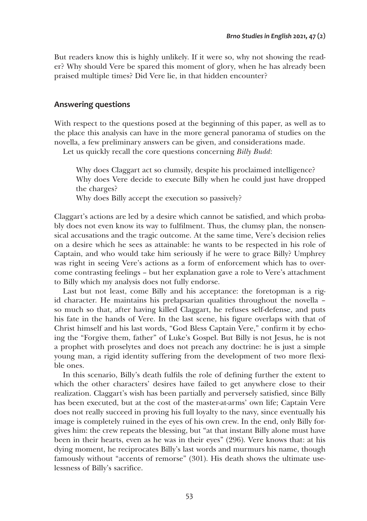But readers know this is highly unlikely. If it were so, why not showing the reader? Why should Vere be spared this moment of glory, when he has already been praised multiple times? Did Vere lie, in that hidden encounter?

# **Answering questions**

With respect to the questions posed at the beginning of this paper, as well as to the place this analysis can have in the more general panorama of studies on the novella, a few preliminary answers can be given, and considerations made.

Let us quickly recall the core questions concerning *Billy Budd*:

Why does Claggart act so clumsily, despite his proclaimed intelligence? Why does Vere decide to execute Billy when he could just have dropped the charges?

Why does Billy accept the execution so passively?

Claggart's actions are led by a desire which cannot be satisfied, and which probably does not even know its way to fulfilment. Thus, the clumsy plan, the nonsensical accusations and the tragic outcome. At the same time, Vere's decision relies on a desire which he sees as attainable: he wants to be respected in his role of Captain, and who would take him seriously if he were to grace Billy? Umphrey was right in seeing Vere's actions as a form of enforcement which has to overcome contrasting feelings – but her explanation gave a role to Vere's attachment to Billy which my analysis does not fully endorse.

Last but not least, come Billy and his acceptance: the foretopman is a rigid character. He maintains his prelapsarian qualities throughout the novella – so much so that, after having killed Claggart, he refuses self-defense, and puts his fate in the hands of Vere. In the last scene, his figure overlaps with that of Christ himself and his last words, "God Bless Captain Vere," confirm it by echoing the "Forgive them, father" of Luke's Gospel. But Billy is not Jesus, he is not a prophet with proselytes and does not preach any doctrine: he is just a simple young man, a rigid identity suffering from the development of two more flexible ones.

In this scenario, Billy's death fulfils the role of defining further the extent to which the other characters' desires have failed to get anywhere close to their realization. Claggart's wish has been partially and perversely satisfied, since Billy has been executed, but at the cost of the master-at-arms' own life; Captain Vere does not really succeed in proving his full loyalty to the navy, since eventually his image is completely ruined in the eyes of his own crew. In the end, only Billy forgives him: the crew repeats the blessing, but "at that instant Billy alone must have been in their hearts, even as he was in their eyes" (296). Vere knows that: at his dying moment, he reciprocates Billy's last words and murmurs his name, though famously without "accents of remorse" (301). His death shows the ultimate uselessness of Billy's sacrifice.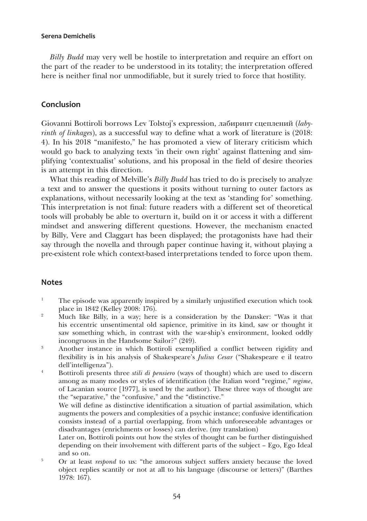*Billy Budd* may very well be hostile to interpretation and require an effort on the part of the reader to be understood in its totality; the interpretation offered here is neither final nor unmodifiable, but it surely tried to force that hostility.

# **Conclusion**

Giovanni Bottiroli borrows Lev Tolstoj's expression, лабиринт сцеплений (*labyrinth of linkages*), as a successful way to define what a work of literature is (2018: 4). In his 2018 "manifesto," he has promoted a view of literary criticism which would go back to analyzing texts 'in their own right' against flattening and simplifying 'contextualist' solutions, and his proposal in the field of desire theories is an attempt in this direction.

What this reading of Melville's *Billy Budd* has tried to do is precisely to analyze a text and to answer the questions it posits without turning to outer factors as explanations, without necessarily looking at the text as 'standing for' something. This interpretation is not final: future readers with a different set of theoretical tools will probably be able to overturn it, build on it or access it with a different mindset and answering different questions. However, the mechanism enacted by Billy, Vere and Claggart has been displayed; the protagonists have had their say through the novella and through paper continue having it, without playing a pre-existent role which context-based interpretations tended to force upon them.

### **Notes**

- <sup>1</sup> The episode was apparently inspired by a similarly unjustified execution which took place in 1842 (Kelley 2008: 176).
- <sup>2</sup> Much like Billy, in a way; here is a consideration by the Dansker: "Was it that his eccentric unsentimental old sapience, primitive in its kind, saw or thought it saw something which, in contrast with the war-ship's environment, looked oddly incongruous in the Handsome Sailor?" (249).
- 3 Another instance in which Bottiroli exemplified a conflict between rigidity and flexibility is in his analysis of Shakespeare's *Julius Cesar* ("Shakespeare e il teatro dell'intelligenza").
- 4 Bottiroli presents three *stili di pensiero* (ways of thought) which are used to discern among as many modes or styles of identification (the Italian word "regime," *regime*, of Lacanian source [1977], is used by the author). These three ways of thought are the "separative," the "confusive," and the "distinctive."

We will define as distinctive identification a situation of partial assimilation, which augments the powers and complexities of a psychic instance; confusive identification consists instead of a partial overlapping, from which unforeseeable advantages or disadvantages (enrichments or losses) can derive. (my translation)

Later on, Bottiroli points out how the styles of thought can be further distinguished depending on their involvement with different parts of the subject – Ego, Ego Ideal

and so on.<br><sup>5</sup> Or at least *respond* to us: "the amorous subject suffers anxiety because the loved object replies scantily or not at all to his language (discourse or letters)" (Barthes 1978: 167).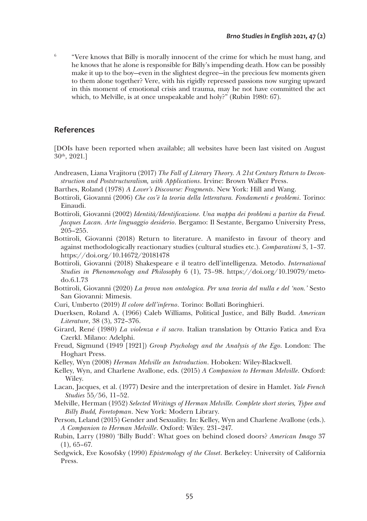$6$  "Vere knows that Billy is morally innocent of the crime for which he must hang, and he knows that he alone is responsible for Billy's impending death. How can be possibly make it up to the boy—even in the slightest degree—in the precious few moments given to them alone together? Vere, with his rigidly repressed passions now surging upward in this moment of emotional crisis and trauma, may he not have committed the act which, to Melville, is at once unspeakable and holy?" (Rubin 1980: 67).

### **References**

[DOIs have been reported when available; all websites have been last visited on August  $30<sup>th</sup>$ , 2021.]

- Andreasen, Liana Vrajitoru (2017) *The Fall of Literary Theory. A 21st Century Return to Deconstruction and Poststructuralism, with Applications*. Irvine: Brown Walker Press.
- Barthes, Roland (1978) *A Lover's Discourse: Fragments*. New York: Hill and Wang.
- Bottiroli, Giovanni (2006) *Che cos'è la teoria della letteratura. Fondamenti e problemi*. Torino: Einaudi.
- Bottiroli, Giovanni (2002) *Identità/Identificazione. Una mappa dei problemi a partire da Freud. Jacques Lacan. Arte linguaggio desiderio*. Bergamo: Il Sestante, Bergamo University Press, 205–255.
- Bottiroli, Giovanni (2018) Return to literature. A manifesto in favour of theory and against methodologically reactionary studies (cultural studies etc.). *Comparatismi* 3, 1–37. <https://doi.org/10.14672/20181478>
- Bottiroli, Giovanni (2018) Shakespeare e il teatro dell'intelligenza. Metodo. *International Studies in Phenomenology and Philosophy* 6 (1), 73*–*98. [https://doi.org/10.19079/meto](https://doi.org/10.19079/metodo.6.1.73)[do.6.1.73](https://doi.org/10.19079/metodo.6.1.73)
- Bottiroli, Giovanni (2020) *La prova non ontologica. Per una teoria del nulla e del 'non.'* Sesto San Giovanni: Mimesis.
- Curi, Umberto (2019) *Il colore dell'inferno*. Torino: Bollati Boringhieri.
- Duerksen, Roland A. (1966) Caleb Williams, Political Justice, and Billy Budd. *American Literature*, 38 (3), 372–376.
- Girard, René (1980) *La violenza e il sacro*. Italian translation by Ottavio Fatica and Eva Czerkl. Milano: Adelphi.
- Freud, Sigmund (1949 [1921]) *Group Psychology and the Analysis of the Ego*. London: The Hoghart Press.
- Kelley, Wyn (2008) *Herman Melville an Introduction*. Hoboken: Wiley-Blackwell.
- Kelley, Wyn, and Charlene Avallone, eds. (2015) *A Companion to Herman Melville*. Oxford: Wiley.
- Lacan, Jacques, et al. (1977) Desire and the interpretation of desire in Hamlet. *Yale French Studies* 55/56, 11–52.
- Melville, Herman (1952) *Selected Writings of Herman Melville. Complete short stories, Typee and Billy Budd, Foretopman*. New York: Modern Library.
- Person, Leland (2015) Gender and Sexuality. In: Kelley, Wyn and Charlene Avallone (eds.). *A Companion to Herman Melville*. Oxford: Wiley. 231–247.
- Rubin, Larry (1980) 'Billy Budd': What goes on behind closed doors? *American Imago* 37 (1), 65–67.
- Sedgwick, Eve Kosofsky (1990) *Epistemology of the Closet*. Berkeley: University of California Press.